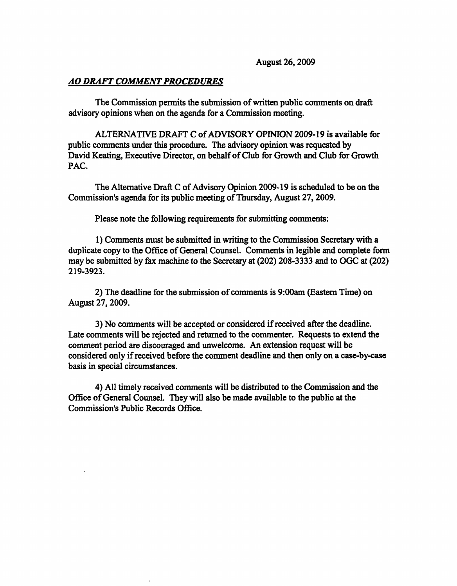August 26,2009

### AO DRAFT COMMENT PROCEDURES

The Commission permits the submission of written public comments on draft advisory opinions when on the agenda for a Commission meeting.

ALTERNATIVE DRAFT C of ADVISORY OPINION 2009-19 is available for public comments under this procedure. The advisory opinion was requested by David Keating, Executive Director, on behalf of Club for Growth and Club for Growth PAC.

The Alternative Draft C of Advisory Opinion 2009-19 is scheduled to be on the Commission's agenda for its public meeting of Thursday, August 27,2009.

Please note the following requirements for submitting comments:

1) Comments must be submitted in writing to the Commission Secretary with a duplicate copy to the Office of General Counsel. Comments in legible and complete form may be submitted by fax machine to the Secretary at (202) 208-3333 and to OGC at (202) 219-3923.

2) The deadline for the submission of comments is 9:00am (Eastern Time) on August 27,2009.

3) No comments will be accepted or considered if received after the deadline. Late comments will be rejected and returned to the commenter. Requests to extend the comment period are discouraged and unwelcome. An extension request will be considered only if received before the comment deadline and then only on a case-by-case basis in special circumstances.

4) All timely received comments will be distributed to the Commission and the Office of General Counsel. They will also be made available to the public at the Commission's Public Records Office.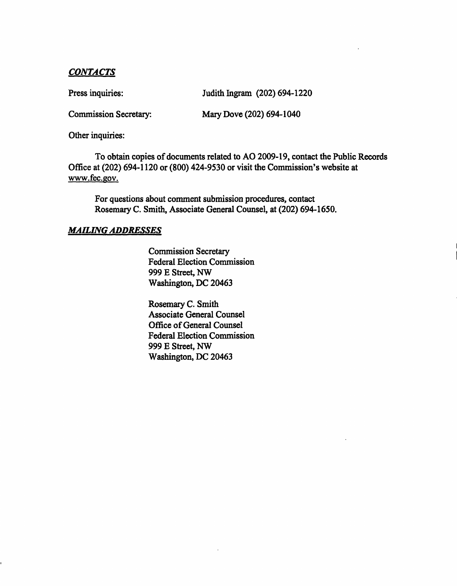# CONTACTS

Press inquiries: Judith Ingram (202) 694-1220

Commission Secretary: Mary Dove (202) 694-1040

Other inquiries:

To obtain copies of documents related to AO 2009-19, contact the Public Records Office at (202) 694-1120 or (800) 424-9530 or visit the Commission's website at www.fec.gov.

For questions about comment submission procedures, contact Rosemary C. Smith, Associate General Counsel, at (202) 694-1650.

## MAILING ADDRESSES

Commission Secretary Federal Election Commission 999 E Street, NW Washington, DC 20463

Rosemary C. Smith Associate General Counsel Office of General Counsel Federal Election Commission 999 E Street, NW Washington, DC 20463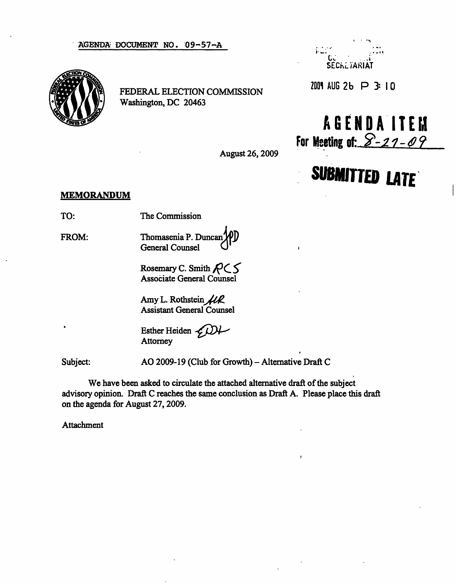#### AGENDA DOCUMENT NO. Q9-57-A ..



FEDERAL ELECTION COMMISSION Washington, DC 20463



 $2001$  AUG 2b  $\Box$  3: 10

AGEND A ITEM For Meeting of:  $8 - 27 - 09$ 

**SUBMITTED LATE** 

August 26, 2009

### MEMORANDUM

TO: The Commission

FROM: Thomasenia P. Duncan General Counsel

> Rosemary C. Smith  $R \subset S$ Associate General Counsel

Amy L. Rothstein  $\mathcal{H}\mathcal{R}$ Assistant General Counsel

Esther Heiden  $\mathcal{L}$ **Attorney** 

Subject: AO 2009-19 (Club for Growth) – Alternative Draft C

We have been asked to circulate the attached alternative draft of the subject advisory opinion. Draft C reaches the same conclusion as Draft A. Please place this draft on the agenda for August 27, 2009.

Attachment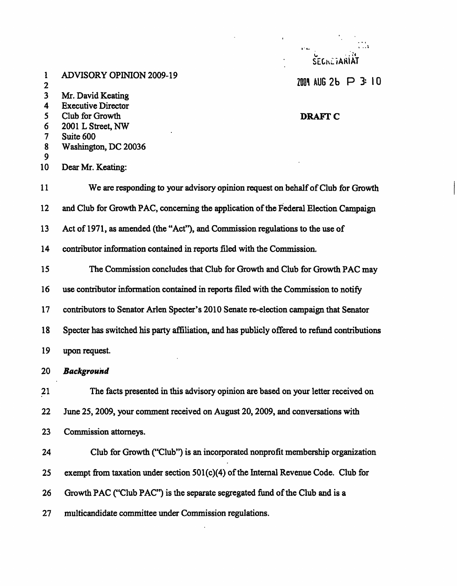|                                        |                                                                                              | $\mathbf{r}^{\prime}$ and<br>SECRETARIAT |
|----------------------------------------|----------------------------------------------------------------------------------------------|------------------------------------------|
| 1                                      | <b>ADVISORY OPINION 2009-19</b>                                                              | $2001$ AUG 2b $\Box$ 3: 10               |
| $\mathbf 2$<br>$\overline{\mathbf{3}}$ | Mr. David Keating                                                                            |                                          |
| 4                                      | <b>Executive Director</b>                                                                    |                                          |
| 5                                      | Club for Growth                                                                              | <b>DRAFT C</b>                           |
| 6<br>7                                 | 2001 L Street, NW<br>Suite 600                                                               |                                          |
| 8                                      | Washington, DC 20036                                                                         |                                          |
| 9                                      |                                                                                              |                                          |
| 10                                     | Dear Mr. Keating:                                                                            |                                          |
| 11                                     | We are responding to your advisory opinion request on behalf of Club for Growth              |                                          |
| 12                                     | and Club for Growth PAC, concerning the application of the Federal Election Campaign         |                                          |
| 13                                     | Act of 1971, as amended (the "Act"), and Commission regulations to the use of                |                                          |
| 14                                     | contributor information contained in reports filed with the Commission.                      |                                          |
| 15                                     | The Commission concludes that Club for Growth and Club for Growth PAC may                    |                                          |
| 16                                     | use contributor information contained in reports filed with the Commission to notify         |                                          |
| 17                                     | contributors to Senator Arlen Specter's 2010 Senate re-election campaign that Senator        |                                          |
| 18                                     | Specter has switched his party affiliation, and has publicly offered to refund contributions |                                          |
| 19                                     | upon request.                                                                                |                                          |
| 20                                     | <b>Background</b>                                                                            |                                          |
| 21                                     | The facts presented in this advisory opinion are based on your letter received on            |                                          |
| 22                                     | June 25, 2009, your comment received on August 20, 2009, and conversations with              |                                          |
| 23                                     | Commission attorneys.                                                                        |                                          |
| 24                                     | Club for Growth ("Club") is an incorporated nonprofit membership organization                |                                          |
| 25                                     | exempt from taxation under section 501(c)(4) of the Internal Revenue Code. Club for          |                                          |
| 26                                     | Growth PAC ("Club PAC") is the separate segregated fund of the Club and is a                 |                                          |

27 multicandidate committee under Commission regulations.

 $\mathbb{R}^2$ 

9  $10$ 

19

**20**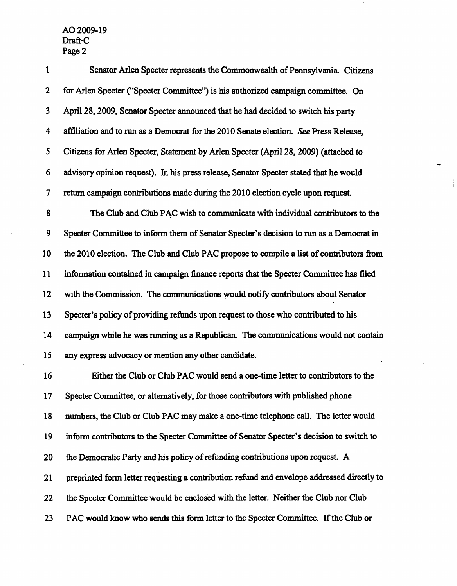| $\mathbf{1}$   | Senator Arlen Specter represents the Commonwealth of Pennsylvania. Citizens             |
|----------------|-----------------------------------------------------------------------------------------|
| $\overline{2}$ | for Arlen Specter ("Specter Committee") is his authorized campaign committee. On        |
| 3              | April 28, 2009, Senator Specter announced that he had decided to switch his party       |
| 4              | affiliation and to run as a Democrat for the 2010 Senate election. See Press Release,   |
| 5              | Citizens for Arlen Specter, Statement by Arlen Specter (April 28, 2009) (attached to    |
| 6              | advisory opinion request). In his press release, Senator Specter stated that he would   |
| 7              | return campaign contributions made during the 2010 election cycle upon request.         |
| 8              | The Club and Club PAC wish to communicate with individual contributors to the           |
| 9              | Specter Committee to inform them of Senator Specter's decision to run as a Democrat in  |
| 10             | the 2010 election. The Club and Club PAC propose to compile a list of contributors from |
| 11             | information contained in campaign finance reports that the Specter Committee has filed  |
| 12             | with the Commission. The communications would notify contributors about Senator         |
| 13             | Specter's policy of providing refunds upon request to those who contributed to his      |
| 14             | campaign while he was running as a Republican. The communications would not contain     |
| 15             | any express advocacy or mention any other candidate.                                    |
| 16             | Either the Club or Club PAC would send a one-time letter to contributors to the         |
| 17             | Specter Committee, or alternatively, for those contributors with published phone        |
| 18             | numbers, the Club or Club PAC may make a one-time telephone call. The letter would      |

19 inform contributors to the Specter Committee of Senator Specter's decision to switch to

20 the Democratic Party and his policy of refunding contributions upon request. A

21 preprinted form letter requesting a contribution refund and envelope addressed directly to

22 the Specter Committee would be enclosed with the letter. Neither the Club nor Club

23 PAC would know who sends this form letter to the Specter Committee. If the Club or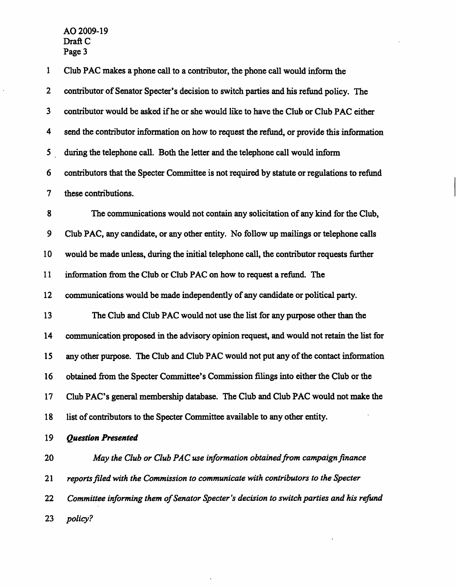$\hat{\mathcal{L}}$ 

| $\mathbf{1}$     | Club PAC makes a phone call to a contributor, the phone call would inform the               |  |
|------------------|---------------------------------------------------------------------------------------------|--|
| $\mathbf{2}$     | contributor of Senator Specter's decision to switch parties and his refund policy. The      |  |
| 3                | contributor would be asked if he or she would like to have the Club or Club PAC either      |  |
| 4                | send the contributor information on how to request the refund, or provide this information  |  |
| 5                | during the telephone call. Both the letter and the telephone call would inform              |  |
| 6                | contributors that the Specter Committee is not required by statute or regulations to refund |  |
| $\boldsymbol{7}$ | these contributions.                                                                        |  |
| 8                | The communications would not contain any solicitation of any kind for the Club,             |  |
| 9                | Club PAC, any candidate, or any other entity. No follow up mailings or telephone calls      |  |
| 10               | would be made unless, during the initial telephone call, the contributor requests further   |  |
| 11               | information from the Club or Club PAC on how to request a refund. The                       |  |
| 12               | communications would be made independently of any candidate or political party.             |  |
| 13               | The Club and Club PAC would not use the list for any purpose other than the                 |  |
| 14               | communication proposed in the advisory opinion request, and would not retain the list for   |  |
| 15               | any other purpose. The Club and Club PAC would not put any of the contact information       |  |
| 16               | obtained from the Specter Committee's Commission filings into either the Club or the        |  |
| 17               | Club PAC's general membership database. The Club and Club PAC would not make the            |  |
| 18               | list of contributors to the Specter Committee available to any other entity.                |  |
| 19               | <b>Question Presented</b>                                                                   |  |
| 20               | May the Club or Club PAC use information obtained from campaign finance                     |  |
| 21               | reports filed with the Commission to communicate with contributors to the Specter           |  |
| 22               | Committee informing them of Senator Specter's decision to switch parties and his refund     |  |
| 23               | policy?                                                                                     |  |

 $\epsilon$ 

 $\sim$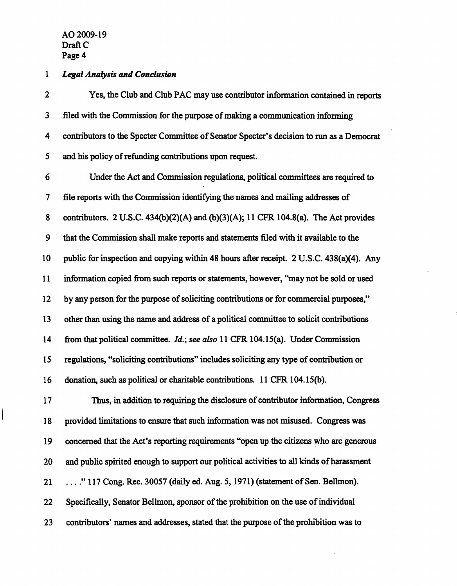### 1 Legal Analysis and Conclusion

2 Yes, the Club and Club PAC may use contributor information contained in reports 3 filed with the Commission for the purpose of making a communication informing 4 contributors to the Specter Committee of Senator Specter's decision to run as a Democrat 5 and his policy of refunding contributions upon request. 6 Under the Act and Commission regulations, political committees are required to 7 file reports with the Commission identifying the names and mailing addresses of 8 contributors. 2 U.S.C. 434(b)(2)(A) and (b)(3)(A); 11 CFR 104.8(a). The Act provides 9 that the Commission shall make reports and statements filed with it available to the 10 public for inspection and copying within 48 hours after receipt. 2 U.S.C. 438(a)(4). Any 11 information copied from such reports or statements, however, "may not be sold or used 12 by any person for the purpose of soliciting contributions or for commercial purposes," 13 other than using the name and address of a political committee to solicit contributions 14 from that political committee. *Id.*; see also 11 CFR 104.15(a). Under Commission 15 regulations, "soliciting contributions" includes soliciting any type of contribution or 16 donation, such as political or charitable contributions. 11 CFR 104.15(b). 17 Thus, in addition to requiring the disclosure of contributor information, Congress 18 provided limitations to ensure that such information was not misused. Congress was 19 concerned that the Act's reporting requirements "open up the citizens who are generous 20 and public spirited enough to support our political activities to all kinds of harassment 21 ... " 117 Cong. Rec. 30057 (daily ed. Aug. 5, 1971) (statement of Sen. Bellmon). 22 Specifically, Senator Bellmon, sponsor of the prohibition on the use of individual 23 contributors' names and addresses, stated that the purpose of the prohibition was to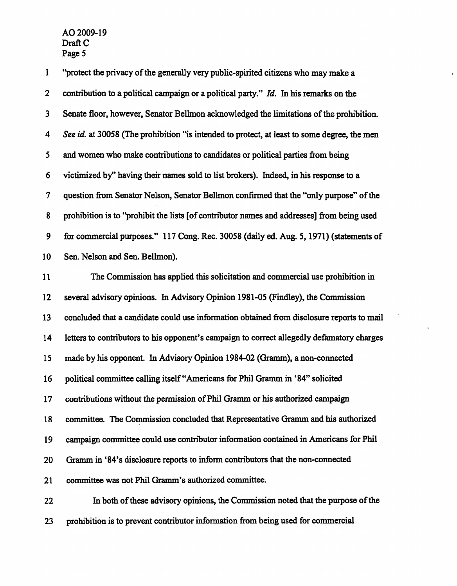1 "protect the privacy of the generally very public-spirited citizens who may make a 2 contribution to a political campaign or a political party." Id. In his remarks on the 3 Senate floor, however, Senator Bellmon acknowledged the limitations of the prohibition. 4 See id. at 30058 (The prohibition "is intended to protect, at least to some degree, the men 5 and women who make contributions to candidates or political parties from being 6 victimized by" having their names sold to list brokers). Indeed, in his response to a 7 question from Senator Nelson, Senator Bellmon confirmed that the "only purpose" of the 8 prohibition is to "prohibit the lists [of contributor names and addresses] from being used 9 for commercial purposes." 117 Cong. Rec. 30058 (daily ed. Aug. 5,1971) (statements of 10 Sen. Nelson and Sen. Bellmon). 11 The Commission has applied this solicitation and commercial use prohibition in 12 several advisory opinions. In Advisory Opinion 1981-05 (Findley), the Commission 13 concluded that a candidate could use information obtained from disclosure reports to mail 14 letters to contributors to his opponent's campaign to correct allegedly defamatory charges 15 made by his opponent. In Advisory Opinion 1984-02 (Gramm), a non-connected 16 political committee calling itself "Americans for Phil Gramm in '84" solicited 17 contributions without the permission of Phil Gramm or his authorized campaign 18 committee. The Commission concluded that Representative Gramm and his authorized 19 campaign committee could use contributor information contained in Americans for Phil 20 Gramm in '84's disclosure reports to inform contributors that the non-connected 21 committee was not Phil Gramm's authorized committee. 22 In both of these advisory opinions, the Commission noted that the purpose of the 23 prohibition is to prevent contributor information from being used for commercial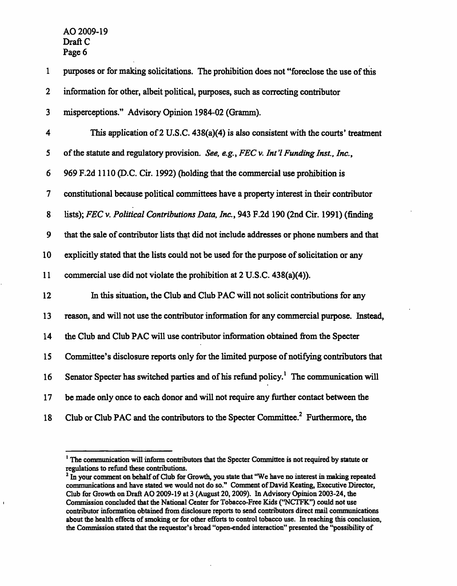$\blacksquare$ 

| $\mathbf{1}$             | purposes or for making solicitations. The prohibition does not "foreclose the use of this          |
|--------------------------|----------------------------------------------------------------------------------------------------|
| $\mathbf 2$              | information for other, albeit political, purposes, such as correcting contributor                  |
| 3                        | misperceptions." Advisory Opinion 1984-02 (Gramm).                                                 |
| 4                        | This application of $2$ U.S.C. 438(a)(4) is also consistent with the courts' treatment             |
| 5                        | of the statute and regulatory provision. See, e.g., FEC v. Int'l Funding Inst., Inc.,              |
| 6                        | 969 F.2d 1110 (D.C. Cir. 1992) (holding that the commercial use prohibition is                     |
| $\overline{\mathcal{L}}$ | constitutional because political committees have a property interest in their contributor          |
| 8                        | lists); FEC v. Political Contributions Data, Inc., 943 F.2d 190 (2nd Cir. 1991) (finding           |
| 9                        | that the sale of contributor lists that did not include addresses or phone numbers and that        |
| 10                       | explicitly stated that the lists could not be used for the purpose of solicitation or any          |
| 11                       | commercial use did not violate the prohibition at 2 U.S.C. 438(a)(4)).                             |
| 12                       | In this situation, the Club and Club PAC will not solicit contributions for any                    |
| 13                       | reason, and will not use the contributor information for any commercial purpose. Instead,          |
| 14                       | the Club and Club PAC will use contributor information obtained from the Specter                   |
| 15                       | Committee's disclosure reports only for the limited purpose of notifying contributors that         |
| 16                       | Senator Specter has switched parties and of his refund policy. <sup>1</sup> The communication will |
| 17                       | be made only once to each donor and will not require any further contact between the               |
| 18                       | Club or Club PAC and the contributors to the Specter Committee. <sup>2</sup> Furthermore, the      |

<sup>&</sup>lt;sup>1</sup> The communication will inform contributors that the Specter Committee is not required by statute or regulations to refund these contributions.

<sup>&</sup>lt;sup>2</sup> In your comment on behalf of Club for Growth, you state that "We have no interest in making repeated communications and have stated we would not do so." Comment of David Keating, Executive Director, Club for Growth on Draft AO 2009-19 at 3 (August 20,2009). In Advisory Opinion 2003-24, the Commission concluded that the National Center for Tobacco-Free Kids ("NCTFK") could not use contributor information obtained from disclosure reports to send contributors direct mail communications about the health effects of smoking or for other efforts to control tobacco use. In reaching this conclusion, the Commission stated that the requestor's broad "open-ended interaction" presented the "possibility of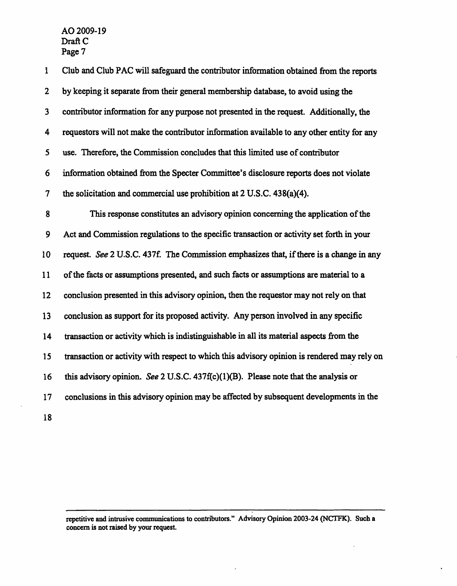$\bar{a}$ 

| 1                        | Club and Club PAC will safeguard the contributor information obtained from the reports      |
|--------------------------|---------------------------------------------------------------------------------------------|
| $\overline{2}$           | by keeping it separate from their general membership database, to avoid using the           |
| 3                        | contributor information for any purpose not presented in the request. Additionally, the     |
| 4                        | requestors will not make the contributor information available to any other entity for any  |
| 5                        | use. Therefore, the Commission concludes that this limited use of contributor               |
| 6                        | information obtained from the Specter Committee's disclosure reports does not violate       |
| $\overline{\mathcal{L}}$ | the solicitation and commercial use prohibition at 2 U.S.C. 438(a)(4).                      |
| 8                        | This response constitutes an advisory opinion concerning the application of the             |
| 9                        | Act and Commission regulations to the specific transaction or activity set forth in your    |
| 10                       | request. See 2 U.S.C. 437f. The Commission emphasizes that, if there is a change in any     |
| 11                       | of the facts or assumptions presented, and such facts or assumptions are material to a      |
| 12 <sup>2</sup>          | conclusion presented in this advisory opinion, then the requestor may not rely on that      |
| 13                       | conclusion as support for its proposed activity. Any person involved in any specific        |
| 14                       | transaction or activity which is indistinguishable in all its material aspects from the     |
| 15                       | transaction or activity with respect to which this advisory opinion is rendered may rely on |
| 16                       | this advisory opinion. See 2 U.S.C. $437f(c)(1)(B)$ . Please note that the analysis or      |
| 17                       | conclusions in this advisory opinion may be affected by subsequent developments in the      |
| 18                       |                                                                                             |

repetitive and intrusive communications to contributors." Advisory Opinion 2003-24 (NCTFK). Such a concern is not raised by your request.

 $\ddot{\phantom{0}}$ 

 $\sim$ 

 $\bullet$